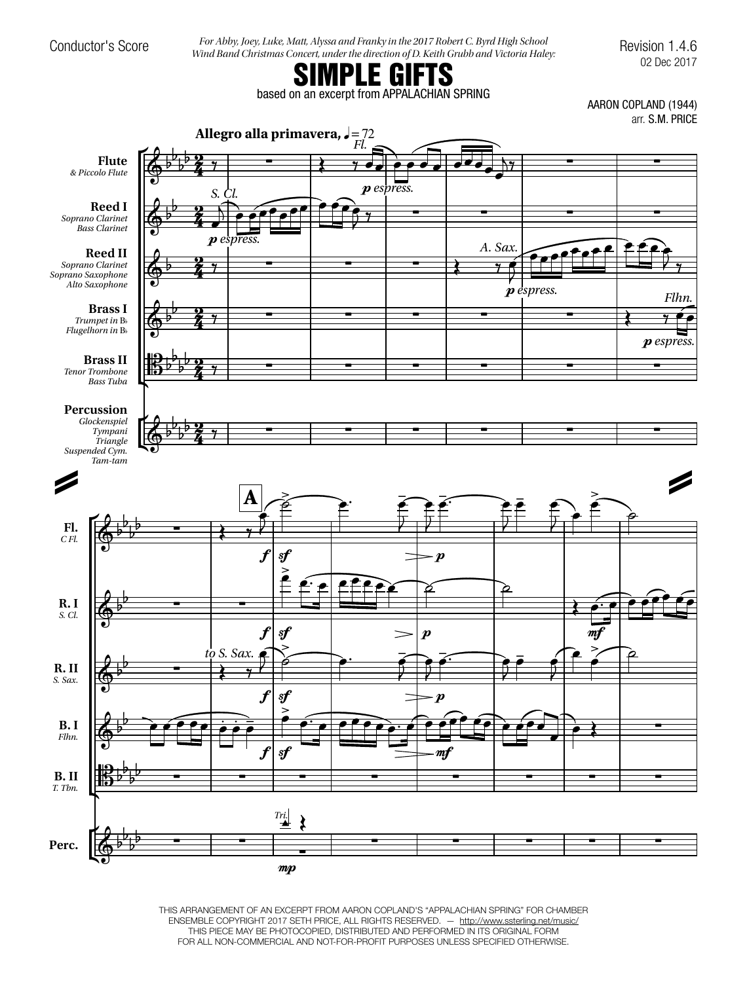For Abby, Joey, Luke, Matt, Alyssa and Franky in the 2017 Robert C. Byrd High School Wind Band Christmas Concert, under the direction of D. Keith Grubb and Victoria Haley:

Revision 1.4.6 02 Dec 2017



based on an excerpt from APPALACHIAN SPRING

AARON COPLAND (1944) arr. S.M. PRICE



THIS ARRANGEMENT OF AN EXCERPT FROM AARON COPLAND'S "APPALACHIAN SPRING" FOR CHAMBER ENSEMBLE COPYRIGHT 2017 SETH PRICE, ALL RIGHTS RESERVED. — http://www.ssterling.net/music/ THIS PIECE MAY BE PHOTOCOPIED, DISTRIBUTED AND PERFORMED IN ITS ORIGINAL FORM FOR ALL NON-COMMERCIAL AND NOT-FOR-PROFIT PURPOSES UNLESS SPECIFIED OTHERWISE.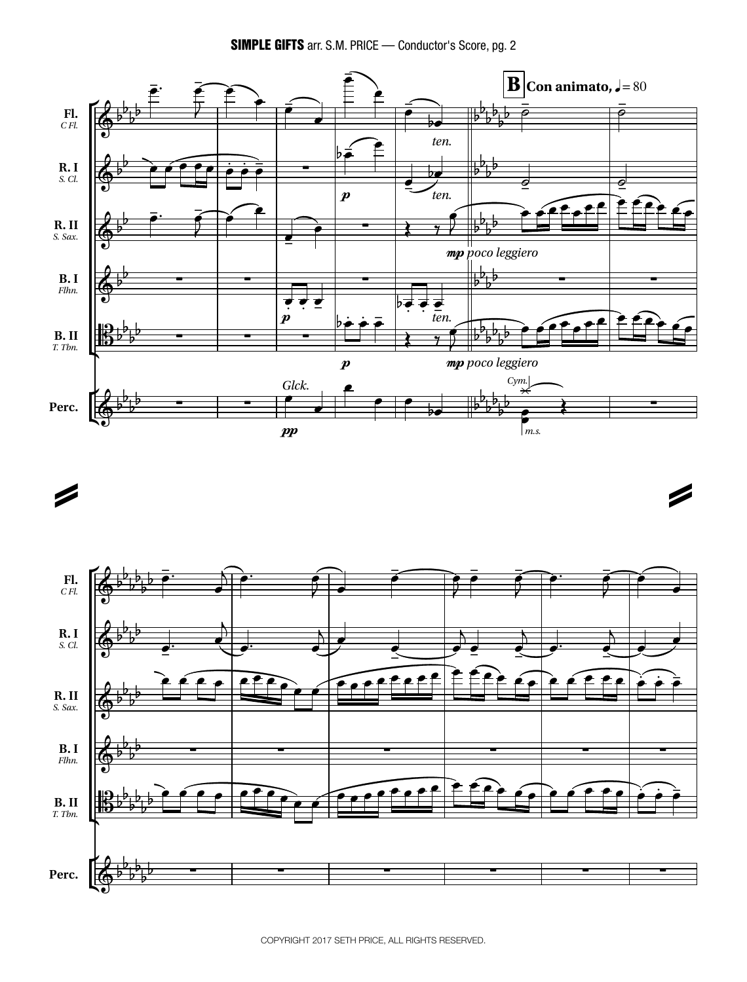SIMPLE GIFTS arr. S.M. PRICE — Conductor's Score, pg. 2



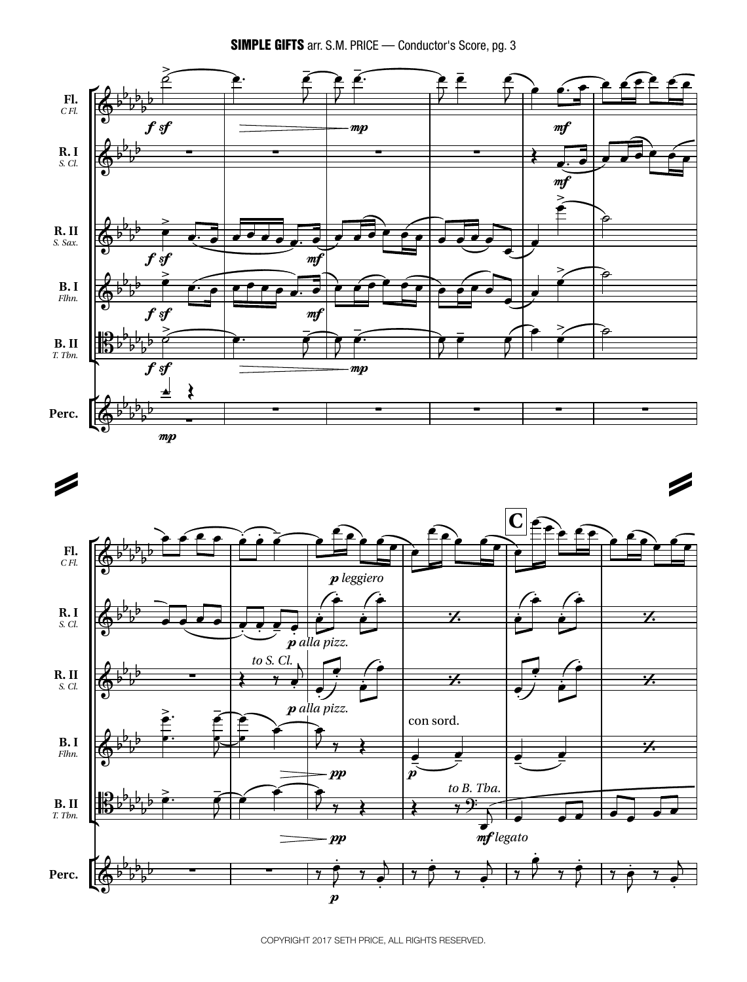SIMPLE GIFTS arr. S.M. PRICE — Conductor's Score, pg. 3



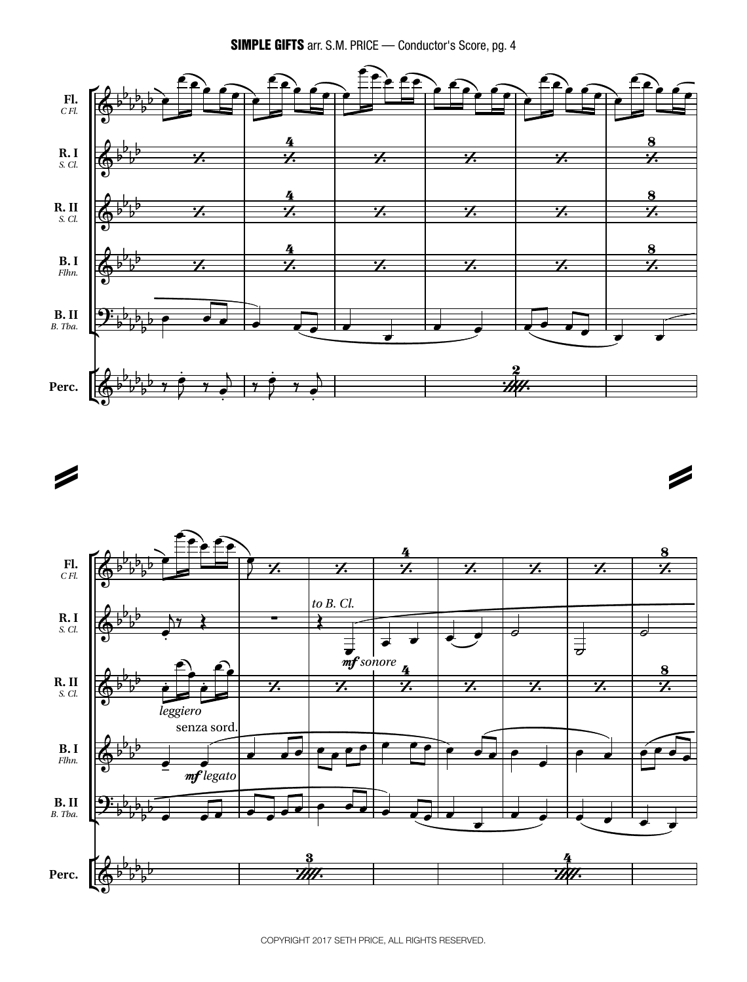**SIMPLE GIFTS** arr. S.M. PRICE - Conductor's Score, pg. 4





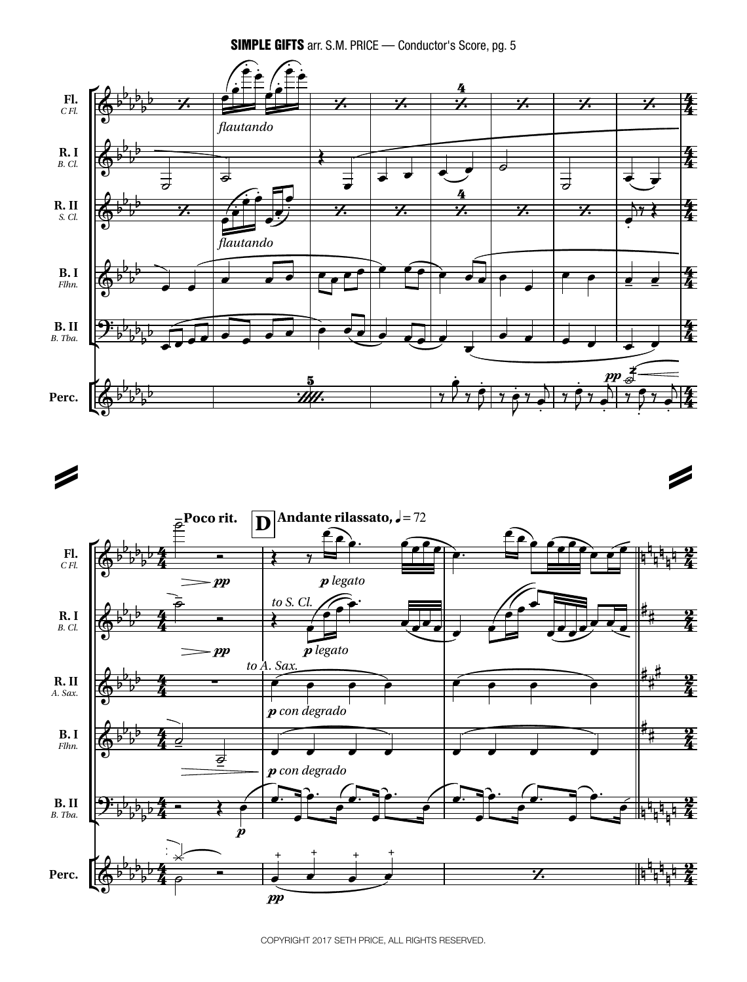

 $\overline{z}$  and  $\overline{z}$  and  $\overline{z}$  and  $\overline{z}$ 

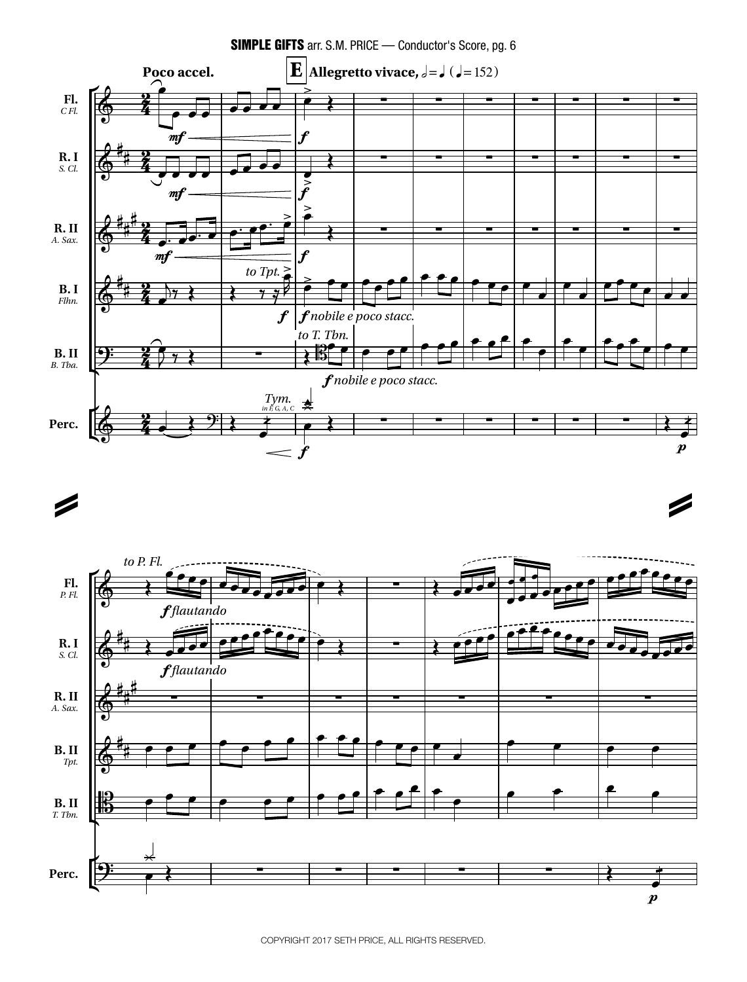

 $\overline{\phantom{a}}$ 



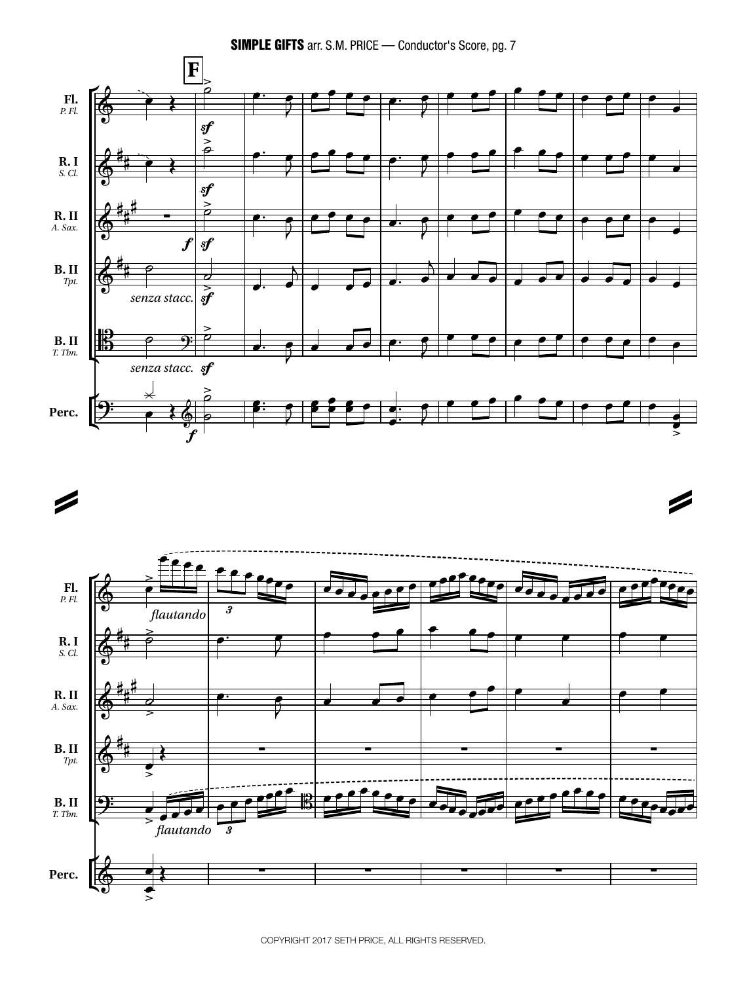

 $\overline{\phantom{a}}$ 



 $\overline{\phantom{a}}$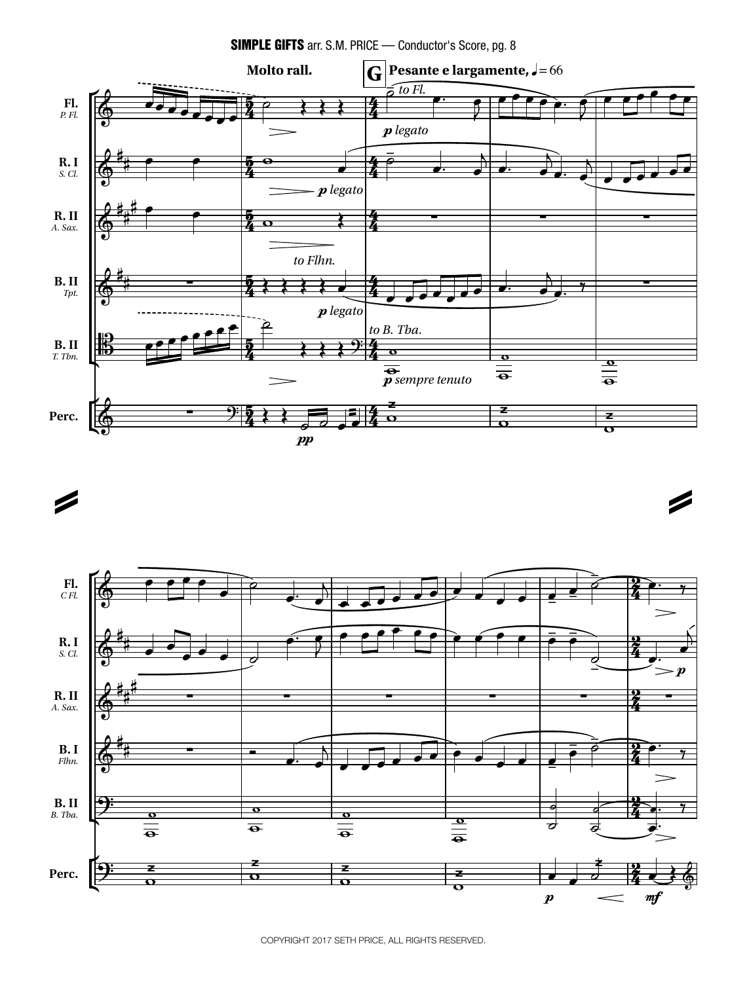